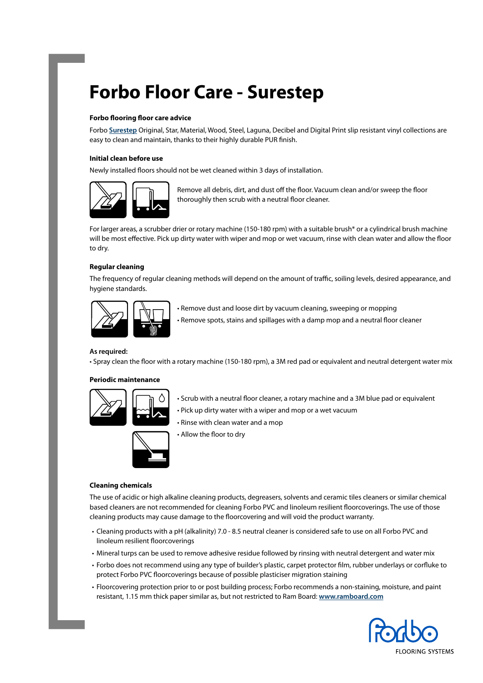# **Forbo Floor Care - Surestep**

#### **Forbo flooring floor care advice**

Forbo **[Surestep](https://www.forbo.com/flooring/en-au/products/step-safety-vinyl-wetroom/surestep-safety-vinyl/b6aagt)** Original, Star, Material, Wood, Steel, Laguna, Decibel and Digital Print slip resistant vinyl collections are easy to clean and maintain, thanks to their highly durable PUR finish.

#### **Initial clean before use**

Newly installed floors should not be wet cleaned within 3 days of installation.



Remove all debris, dirt, and dust off the floor. Vacuum clean and/or sweep the floor thoroughly then scrub with a neutral floor cleaner.

For larger areas, a scrubber drier or rotary machine (150-180 rpm) with a suitable brush\* or a cylindrical brush machine will be most effective. Pick up dirty water with wiper and mop or wet vacuum, rinse with clean water and allow the floor to dry.

## **Regular cleaning**

The frequency of regular cleaning methods will depend on the amount of traffic, soiling levels, desired appearance, and hygiene standards.



• Remove dust and loose dirt by vacuum cleaning, sweeping or mopping • Remove spots, stains and spillages with a damp mop and a neutral floor cleaner

#### **As required:**

• Spray clean the floor with a rotary machine (150-180 rpm), a 3M red pad or equivalent and neutral detergent water mix

#### **Periodic maintenance**



- Scrub with a neutral floor cleaner, a rotary machine and a 3M blue pad or equivalent
- Pick up dirty water with a wiper and mop or a wet vacuum
- Rinse with clean water and a mop
- 
- Allow the floor to dry

#### **Cleaning chemicals**

The use of acidic or high alkaline cleaning products, degreasers, solvents and ceramic tiles cleaners or similar chemical based cleaners are not recommended for cleaning Forbo PVC and linoleum resilient floorcoverings. The use of those cleaning products may cause damage to the floorcovering and will void the product warranty.

- Cleaning products with a pH (alkalinity) 7.0 8.5 neutral cleaner is considered safe to use on all Forbo PVC and linoleum resilient floorcoverings
- Mineral turps can be used to remove adhesive residue followed by rinsing with neutral detergent and water mix
- Forbo does not recommend using any type of builder's plastic, carpet protector film, rubber underlays or corfluke to protect Forbo PVC floorcoverings because of possible plasticiser migration staining
- Floorcovering protection prior to or post building process; Forbo recommends a non-staining, moisture, and paint resistant, 1.15 mm thick paper similar as, but not restricted to Ram Board: **[www.ramboard.com](http://www.ramboard.com )**